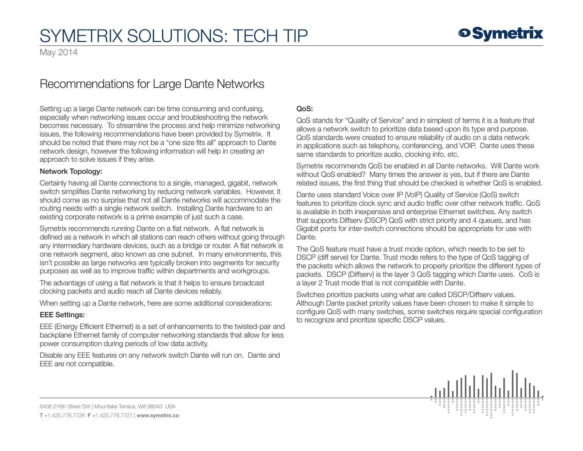# SYMETRIX SOLUTIONS: TECH TIP

May 2014

# Recommendations for Large Dante Networks

Setting up a large Dante network can be time consuming and confusing, especially when networking issues occur and troubleshooting the network becomes necessary. To streamline the process and help minimize networking issues, the following recommendations have been provided by Symetrix. It should be noted that there may not be a "one size fits all" approach to Dante network design, however the following information will help in creating an approach to solve issues if they arise.

### Network Topology:

Certainly having all Dante connections to a single, managed, gigabit, network switch simplifies Dante networking by reducing network variables. However, it should come as no surprise that not all Dante networks will accommodate the routing needs with a single network switch. Installing Dante hardware to an existing corporate network is a prime example of just such a case.

Symetrix recommends running Dante on a flat network. A flat network is defined as a network in which all stations can reach others without going through any intermediary hardware devices, such as a bridge or router. A flat network is one network segment, also known as one subnet. In many environments, this isn't possible as large networks are typically broken into segments for security purposes as well as to improve traffic within departments and workgroups.

The advantage of using a flat network is that it helps to ensure broadcast clocking packets and audio reach all Dante devices reliably.

When setting up a Dante network, here are some additional considerations:

# EEE Settings:

EEE (Energy Efficient Ethernet) is a set of enhancements to the twisted-pair and backplane Ethernet family of computer networking standards that allow for less power consumption during periods of low data activity.

Disable any EEE features on any network switch Dante will run on. Dante and EEE are not compatible.

# QoS:

QoS stands for "Quality of Service" and in simplest of terms it is a feature that allows a network switch to prioritize data based upon its type and purpose. QoS standards were created to ensure reliability of audio on a data network in applications such as telephony, conferencing, and VOIP. Dante uses these same standards to prioritize audio, clocking info, etc.

Symetrix recommends QoS be enabled in all Dante networks. Will Dante work without QoS enabled? Many times the answer is yes, but if there are Dante related issues, the first thing that should be checked is whether QoS is enabled.

Dante uses standard Voice over IP (VoIP) Quality of Service (QoS) switch features to prioritize clock sync and audio traffic over other network traffic. QoS is available in both inexpensive and enterprise Ethernet switches. Any switch that supports Diffserv (DSCP) QoS with strict priority and 4 queues, and has Gigabit ports for inter-switch connections should be appropriate for use with Dante.

The QoS feature must have a trust mode option, which needs to be set to DSCP (diff serve) for Dante. Trust mode refers to the type of QoS tagging of the packets which allows the network to properly prioritize the different types of packets. DSCP (Diffserv) is the layer 3 QoS tagging which Dante uses. CoS is a layer 2 Trust mode that is not compatible with Dante.

Switches prioritize packets using what are called DSCP/Diffserv values. Although Dante packet priority values have been chosen to make it simple to configure QoS with many switches, some switches require special configuration to recognize and prioritize specific DSCP values.



6408 216th Street SW | Mountlake Terrace, WA 98043 USA T +1.425.778.7728 F +1.425.778.7727 | www.symetrix.co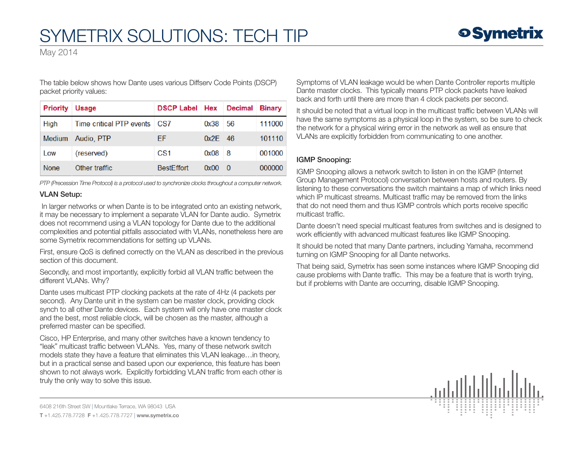May 2014

The table below shows how Dante uses various Diffserv Code Points (DSCP) packet priority values:

| <b>Priority</b> | Usage                    | <b>DSCP Label</b> Hex |           | Decimal | <b>Binary</b> |
|-----------------|--------------------------|-----------------------|-----------|---------|---------------|
| High            | Time critical PTP events | CS <sub>7</sub>       | 0x38      | 56      | 111000        |
| Medium          | Audio, PTP               | ΕF                    | $0x2F$ 46 |         | 101110        |
| Low             | (reserved)               | CS <sub>1</sub>       | 0x08      | - 8     | 001000        |
| <b>None</b>     | Other traffic            | <b>BestEffort</b>     | 0x00      | - 0     | 000000        |

*PTP (Precession Time Protocol) is a protocol used to synchronize clocks throughout a computer network.*

# VLAN Setup:

 In larger networks or when Dante is to be integrated onto an existing network, it may be necessary to implement a separate VLAN for Dante audio. Symetrix does not recommend using a VLAN topology for Dante due to the additional complexities and potential pitfalls associated with VLANs, nonetheless here are some Symetrix recommendations for setting up VLANs.

First, ensure QoS is defined correctly on the VLAN as described in the previous section of this document.

Secondly, and most importantly, explicitly forbid all VLAN traffic between the different VLANs. Why?

Dante uses multicast PTP clocking packets at the rate of 4Hz (4 packets per second). Any Dante unit in the system can be master clock, providing clock synch to all other Dante devices. Each system will only have one master clock and the best, most reliable clock, will be chosen as the master, although a preferred master can be specified.

Cisco, HP Enterprise, and many other switches have a known tendency to "leak" multicast traffic between VLANs. Yes, many of these network switch models state they have a feature that eliminates this VLAN leakage…in theory, but in a practical sense and based upon our experience, this feature has been shown to not always work. Explicitly forbidding VLAN traffic from each other is truly the only way to solve this issue.

Symptoms of VLAN leakage would be when Dante Controller reports multiple Dante master clocks. This typically means PTP clock packets have leaked back and forth until there are more than 4 clock packets per second.

It should be noted that a virtual loop in the multicast traffic between VLANs will have the same symptoms as a physical loop in the system, so be sure to check the network for a physical wiring error in the network as well as ensure that VLANs are explicitly forbidden from communicating to one another.

# IGMP Snooping:

IGMP Snooping allows a network switch to listen in on the IGMP (Internet Group Management Protocol) conversation between hosts and routers. By listening to these conversations the switch maintains a map of which links need which IP multicast streams. Multicast traffic may be removed from the links that do not need them and thus IGMP controls which ports receive specific multicast traffic.

Dante doesn't need special multicast features from switches and is designed to work efficiently with advanced multicast features like IGMP Snooping.

It should be noted that many Dante partners, including Yamaha, recommend turning on IGMP Snooping for all Dante networks.

That being said, Symetrix has seen some instances where IGMP Snooping did cause problems with Dante traffic. This may be a feature that is worth trying, but if problems with Dante are occurring, disable IGMP Snooping.